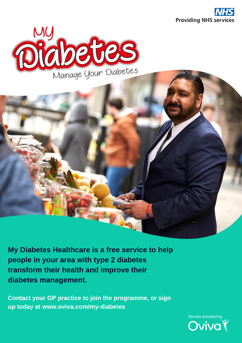





**My Diabetes Healthcare is a free service to help people in your area with type 2 diabetes transform their health and improve their diabetes management.**

**Contact your GP practice to join the programme, or sign up today at www.oviva.com/my-diabetes**